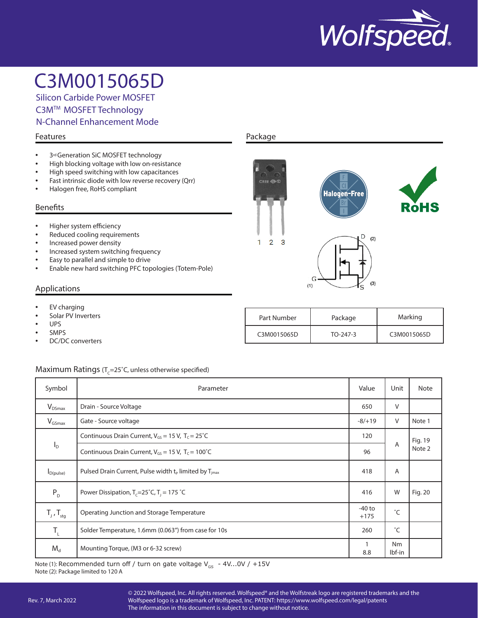

Silicon Carbide Power MOSFET C3MTM MOSFET Technology N-Channel Enhancement Mode

#### Features

- 3rd Generation SiC MOSFET technology
- High blocking voltage with low on-resistance
- High speed switching with low capacitances
- Fast intrinsic diode with low reverse recovery (Qrr)
- Halogen free, RoHS compliant

#### Benefits

- Higher system efficiency
- Reduced cooling requirements
- Increased power density
- Increased system switching frequency
- Easy to parallel and simple to drive
- Enable new hard switching PFC topologies (Totem-Pole)

#### Applications

- **EV** charging
- Solar PV Inverters
- UPS
- SMPS
- DC/DC converters

#### Maximum Ratings ( $T_c$ =25°C, unless otherwise specified)

| Symbol                     | Parameter                                                                     | Value    | Unit         | <b>Note</b> |
|----------------------------|-------------------------------------------------------------------------------|----------|--------------|-------------|
| $V_{DSmax}$                | Drain - Source Voltage                                                        | 650      | V            |             |
| $V_{GSmax}$                | Gate - Source voltage                                                         | $-8/+19$ | V            | Note 1      |
|                            | Continuous Drain Current, $V_{GS} = 15$ V, $T_c = 25^{\circ}C$                |          |              | Fig. 19     |
| $I_{\text{D}}$             | Continuous Drain Current, $V_{GS} = 15$ V, $T_c = 100^{\circ}$ C              | 96       | A            | Note 2      |
| $I_{D(pulse)}$             | Pulsed Drain Current, Pulse width t <sub>p</sub> limited by T <sub>imax</sub> | 418      | A            |             |
| $P_{D}$                    | Power Dissipation, $T_c = 25^\circ C$ , $T_1 = 175^\circ C$                   | 416      | W            | Fig. 20     |
| $T_{j}$ , $T_{\text{stg}}$ | Operating Junction and Storage Temperature                                    |          | °С           |             |
| $T_{L}$                    | Solder Temperature, 1.6mm (0.063") from case for 10s                          | 260      | $^{\circ}$ C |             |
| $M_d$                      | Mounting Torque, (M3 or 6-32 screw)                                           | 8.8      | Nm<br>lbf-in |             |

Note (1): Recommended turn off / turn on gate voltage  $V_{GS}$  - 4V...0V / +15V Note (2): Package limited to 120 A

## Package



| Part Number | Package    | Marking     |
|-------------|------------|-------------|
| C3M0015065D | $TO-247-3$ | C3M0015065D |

© 2022 Wolfspeed, Inc. All rights reserved. Wolfspeed® and the Wolfstreak logo are registered trademarks and the Wolfspeed logo is a trademark of Wolfspeed, Inc. PATENT: https://www.wolfspeed.com/legal/patents The information in this document is subject to change without notice.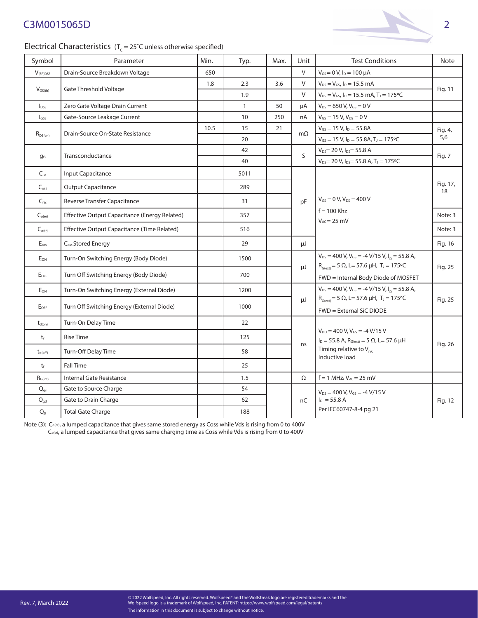## Electrical Characteristics ( $T_c = 25^\circ$ C unless otherwise specified)

| Symbol                        | Parameter                                            | Min. | Typ.         | Max. | Unit         | <b>Test Conditions</b>                                                                                                                                        | Note           |  |
|-------------------------------|------------------------------------------------------|------|--------------|------|--------------|---------------------------------------------------------------------------------------------------------------------------------------------------------------|----------------|--|
| V <sub>(BR)DSS</sub>          | Drain-Source Breakdown Voltage                       | 650  |              |      | $\vee$       | $V_{GS} = 0 V$ , $I_D = 100 \mu A$                                                                                                                            |                |  |
|                               |                                                      | 1.8  | 2.3          | 3.6  | V            | $V_{DS} = V_{GS}$ , $I_D = 15.5$ mA                                                                                                                           | Fig. 11        |  |
| $V_{GS(th)}$                  | Gate Threshold Voltage                               |      | 1.9          |      | V            | $V_{DS} = V_{GS}$ , $I_D = 15.5$ mA, $T_J = 175$ °C                                                                                                           |                |  |
| $I_{DSS}$                     | Zero Gate Voltage Drain Current                      |      | $\mathbf{1}$ | 50   | μA           | $V_{DS} = 650 V, V_{GS} = 0 V$                                                                                                                                |                |  |
| $I$ <sub>GSS</sub>            | Gate-Source Leakage Current                          |      | 10           | 250  | nA           | $V_{GS} = 15 V, V_{DS} = 0 V$                                                                                                                                 |                |  |
|                               | Drain-Source On-State Resistance                     | 10.5 | 15           | 21   | $m\Omega$    | $V_{GS}$ = 15 V, $I_D$ = 55.8A                                                                                                                                | Fig. 4,        |  |
| $R_{DS(on)}$                  |                                                      |      | 20           |      |              | $V_{GS} = 15 V$ , $I_D = 55.8 A$ , $T_J = 175$ °C                                                                                                             | 5,6            |  |
|                               | Transconductance                                     |      | 42           |      | $\mathsf{S}$ | $V_{DS}$ = 20 V, $I_{DS}$ = 55.8 A                                                                                                                            | Fig. 7         |  |
| <b>g</b> fs                   |                                                      |      | 40           |      |              | $V_{DS}$ = 20 V, $I_{DS}$ = 55.8 A, T <sub>J</sub> = 175 °C                                                                                                   |                |  |
| $C_{iss}$                     | Input Capacitance                                    |      | 5011         |      |              |                                                                                                                                                               | Fig. 17,<br>18 |  |
| $C_{\text{oss}}$              | <b>Output Capacitance</b>                            |      | 289          |      |              |                                                                                                                                                               |                |  |
| $C_{rss}$                     | Reverse Transfer Capacitance                         |      | 31           |      | pF           | $V_{GS} = 0 V, V_{DS} = 400 V$                                                                                                                                |                |  |
| $C_{\mathrm{o}(\mathrm{er})}$ | <b>Effective Output Capacitance (Energy Related)</b> |      | 357          |      |              | $f = 100$ Khz<br>$V_{AC} = 25$ mV                                                                                                                             | Note: 3        |  |
| $C_{o(tr)}$                   | Effective Output Capacitance (Time Related)          |      | 516          |      |              |                                                                                                                                                               | Note: 3        |  |
| $E_{\mathsf{oss}}$            | C <sub>oss</sub> Stored Energy                       |      | 29           |      | μJ           |                                                                                                                                                               | Fig. 16        |  |
| EON                           | Turn-On Switching Energy (Body Diode)                |      | 1500         |      |              | $V_{DS}$ = 400 V, V <sub>GS</sub> = -4 V/15 V, I <sub>D</sub> = 55.8 A,<br>$R_{G(\text{ext})} = 5 \Omega$ , L= 57.6 µH, T <sub>J</sub> = 175 °C               |                |  |
| $E_{OFF}$                     | Turn Off Switching Energy (Body Diode)               |      | 700          |      | μJ           | FWD = Internal Body Diode of MOSFET                                                                                                                           | Fig. 25        |  |
| $E_{ON}$                      | Turn-On Switching Energy (External Diode)            |      | 1200         |      |              | $V_{DS}$ = 400 V, V <sub>GS</sub> = -4 V/15 V, I <sub>D</sub> = 55.8 A,                                                                                       | Fig. 25        |  |
| E <sub>OFF</sub>              | Turn Off Switching Energy (External Diode)           |      | 1000         |      | μJ           | $R_{G(\text{ext})} = 5 \Omega$ , L= 57.6 µH, T <sub>J</sub> = 175°C<br>FWD = External SiC DIODE                                                               |                |  |
| $t_{d(on)}$                   | Turn-On Delay Time                                   |      | 22           |      |              |                                                                                                                                                               | Fig. 26        |  |
| $t_{r}$                       | <b>Rise Time</b>                                     |      | 125          |      |              | $V_{DD}$ = 400 V, V <sub>GS</sub> = -4 V/15 V<br>$I_D = 55.8$ A, $R_{G(ext)} = 5$ $\Omega$ , L= 57.6 $\mu$ H<br>Timing relative to $V_{nc}$<br>Inductive load |                |  |
| $t_{d(off)}$                  | Turn-Off Delay Time                                  |      | 58           |      | ns           |                                                                                                                                                               |                |  |
| $t_{\rm f}$                   | <b>Fall Time</b>                                     |      | 25           |      |              |                                                                                                                                                               |                |  |
| $R_{G(int)}$                  | Internal Gate Resistance                             |      | 1.5          |      | Ω            | $f = 1$ MHz, $V_{AC} = 25$ mV                                                                                                                                 |                |  |
| $\mathsf{Q}_{\mathsf{gs}}$    | Gate to Source Charge                                |      | 54           |      |              | $V_{DS}$ = 400 V, V <sub>GS</sub> = -4 V/15 V                                                                                                                 |                |  |
| $Q_{\rm gd}$                  | Gate to Drain Charge                                 |      | 62           |      | nC           | $I_D = 55.8 A$                                                                                                                                                | Fig. 12        |  |
| $\mathsf{Q}_{9}$              | <b>Total Gate Charge</b>                             |      | 188          |      |              | Per IEC60747-8-4 pg 21                                                                                                                                        |                |  |

Note (3): C<sub>oler</sub>, a lumped capacitance that gives same stored energy as Coss while Vds is rising from 0 to 400V

 $\mathsf{C}_{\mathsf{off}}$ , a lumped capacitance that gives same charging time as Coss while Vds is rising from 0 to 400V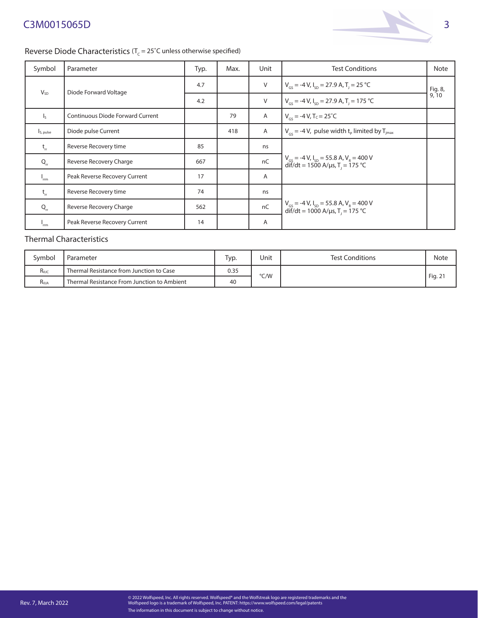

### Reverse Diode Characteristics ( $T_c = 25^\circ$ C unless otherwise specified)

| Symbol                    | Parameter                        | Typ. | Max. | Unit           | <b>Test Conditions</b>                                                                                    | Note            |
|---------------------------|----------------------------------|------|------|----------------|-----------------------------------------------------------------------------------------------------------|-----------------|
| $V_{SD}$                  | Diode Forward Voltage            | 4.7  |      | $\vee$         | $V_{cs}$ = -4 V, I <sub>sp</sub> = 27.9 A, T <sub>1</sub> = 25 °C                                         | Fig. 8,<br>9,10 |
|                           |                                  | 4.2  |      | $\vee$         | $V_{gs}$ = -4 V, $I_{sp}$ = 27.9 A, T <sub>1</sub> = 175 °C                                               |                 |
| $\mathsf{I}_{\mathsf{S}}$ | Continuous Diode Forward Current |      | 79   | Α              | $V_{cs} = -4 V$ , T <sub>C</sub> = 25 <sup>°</sup> C                                                      |                 |
| Is, pulse                 | Diode pulse Current              |      | 418  | $\mathsf{A}$   | $V_{cs}$ = -4 V, pulse width t <sub>p</sub> limited by T <sub>jmax</sub>                                  |                 |
| $t_{rr}$                  | Reverse Recovery time            | 85   |      | ns             |                                                                                                           |                 |
| $Q_{rr}$                  | Reverse Recovery Charge          | 667  |      | nC             | $V_{GS} = -4 V, I_{SD} = 55.8 A, V_R = 400 V$<br>dif/dt = 1500 A/µs, T <sub>1</sub> = 175 °C              |                 |
| $I_{\rm rm}$              | Peak Reverse Recovery Current    | 17   |      | $\overline{A}$ |                                                                                                           |                 |
| $t_{rr}$                  | Reverse Recovery time            | 74   |      | ns             |                                                                                                           |                 |
| $Q_{rr}$                  | Reverse Recovery Charge          | 562  |      | nC             | $V_{GS}$ = -4 V, $I_{SD}$ = 55.8 A, V <sub>R</sub> = 400 V<br>dif/dt = 1000 A/µs, T <sub>1</sub> = 175 °C |                 |
| "rm                       | Peak Reverse Recovery Current    | 14   |      | A              |                                                                                                           |                 |

### Thermal Characteristics

| Svmbol      | Parameter                                   | Typ. | Unit | <b>Test Conditions</b> | Note    |
|-------------|---------------------------------------------|------|------|------------------------|---------|
| $R_{\theta$ | Thermal Resistance from Junction to Case    | 0.35 | °C/W |                        |         |
| $R_{0JA}$   | Thermal Resistance From Junction to Ambient | 40   |      |                        | Fig. 21 |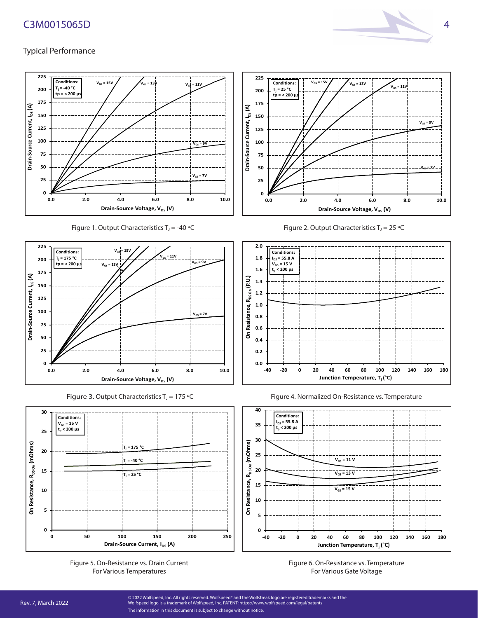

## Typical Performance



Figure 1. Output Characteristics  $T_J = -40$  °C





Figure 5. On-Resistance vs. Drain Current For Various Temperatures











Figure 6. On-Resistance vs. Temperature For Various Gate Voltage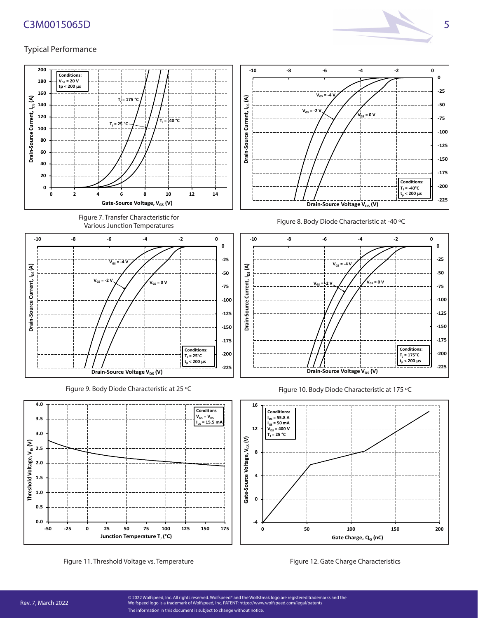

#### Typical Performance

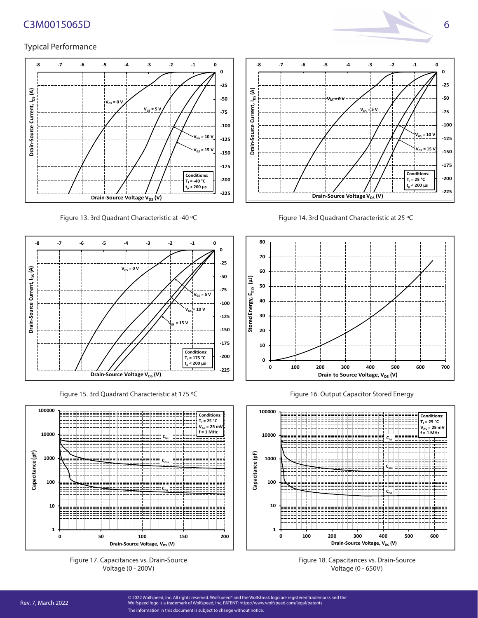



Figure 13. 3rd Quadrant Characteristic at -40 °C Figure 14. 3rd Quadrant Characteristic at 25 °C





Figure 15. 3rd Quadrant Characteristic at 175 ºC



Figure 17. Capacitances vs. Drain-Source Voltage (0 - 200V)



Figure 16. Output Capacitor Stored Energy



Figure 18. Capacitances vs. Drain-Source Voltage (0 - 650V)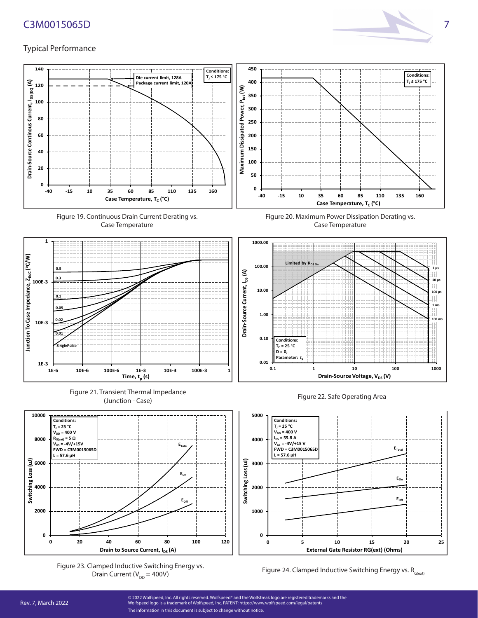

#### Typical Performance



Drain Current ( $V_{DD} = 400V$ )

Figure 24. Clamped Inductive Switching Energy vs.  $R_{G(\text{ext})}$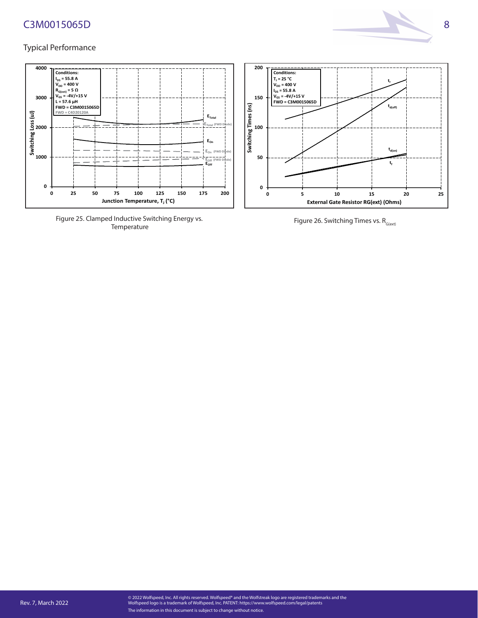



Figure 25. Clamped Inductive Switching Energy vs. Temperature

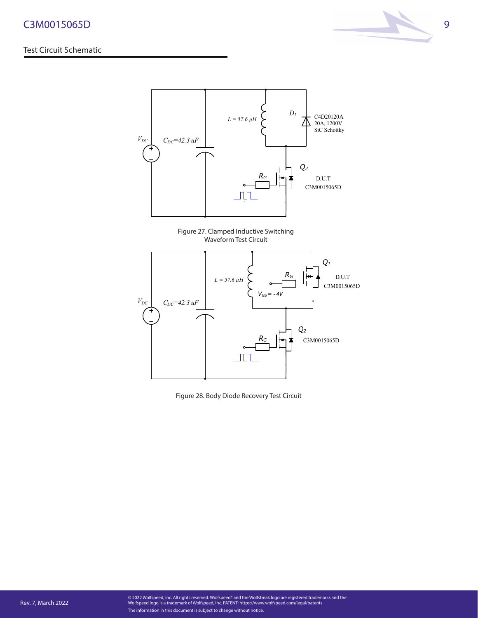#### Test Circuit Schematic





Figure 27. Clamped Inductive Switching Waveform Test Circuit



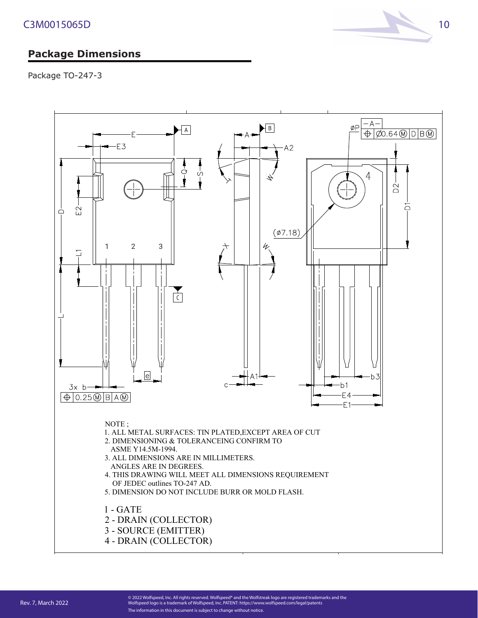# **Package Dimensions**

Package TO-247-3

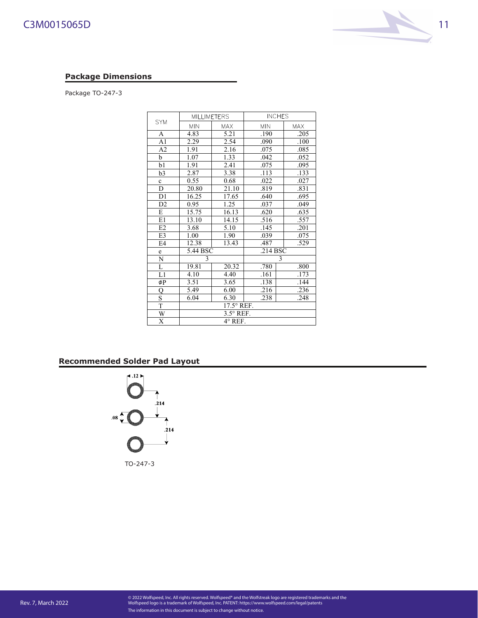#### **Package Dimensions**

Package TO-247-3

|                         | <b>MILLIMETERS</b> |            |            | <b>INCHES</b>     |  |
|-------------------------|--------------------|------------|------------|-------------------|--|
| <b>SYM</b>              | <b>MIN</b>         | <b>MAX</b> | <b>MIN</b> | <b>MAX</b>        |  |
| A                       | 4.83               | 5.21       | .190       | .205              |  |
| A <sub>1</sub>          | 2.29               | 2.54       | .090       | .100              |  |
| A <sub>2</sub>          | 1.91               | 2.16       | .075       | .085              |  |
| b                       | 1.07               | 1.33       | .042       | .052              |  |
| b1                      | 1.91               | 2.41       | .075       | .095              |  |
| b3                      | 2.87               | 3.38       | .113       | .133              |  |
| c                       | 0.55               | 0.68       | .022       | .027              |  |
| D                       | 20.80              | 21.10      | .819       | $.83\overline{1}$ |  |
| D1                      | 16.25              | 17.65      | .640       | .695              |  |
| D <sub>2</sub>          | 0.95               | 1.25       | .037       | .049              |  |
| E                       | 15.75              | 16.13      | .620       | .635              |  |
| E1                      | 13.10              | 14.15      | .516       | .557              |  |
| E2                      | 3.68               | 5.10       | .145       | .201              |  |
| E3                      | 1.00               | 1.90       | .039       | .075              |  |
| E <sub>4</sub>          | 12.38              | 13.43      | .487       | .529              |  |
| e                       | 5.44 BSC           |            | .214 BSC   |                   |  |
| N                       | 3                  |            | 3          |                   |  |
| L                       | 19.81              | 20.32      | .780       | .800              |  |
| L1                      | 4.10               | 4.40       | .161       | .173              |  |
| øΡ                      | 3.51               | 3.65       | .138       | .144              |  |
| Q                       | 5.49               | 6.00       | .216       | .236              |  |
| $\overline{\mathbf{s}}$ | 6.04               | 6.30       | .238       | .248              |  |
| T                       | 17.5° REF.         |            |            |                   |  |
| W                       | $3.5^{\circ}$ REF. |            |            |                   |  |
| X                       | $4^\circ$ REF.     |            |            |                   |  |

COMPANY *ASE WEIHAI*

### **Recommended Solder Pad Layout**